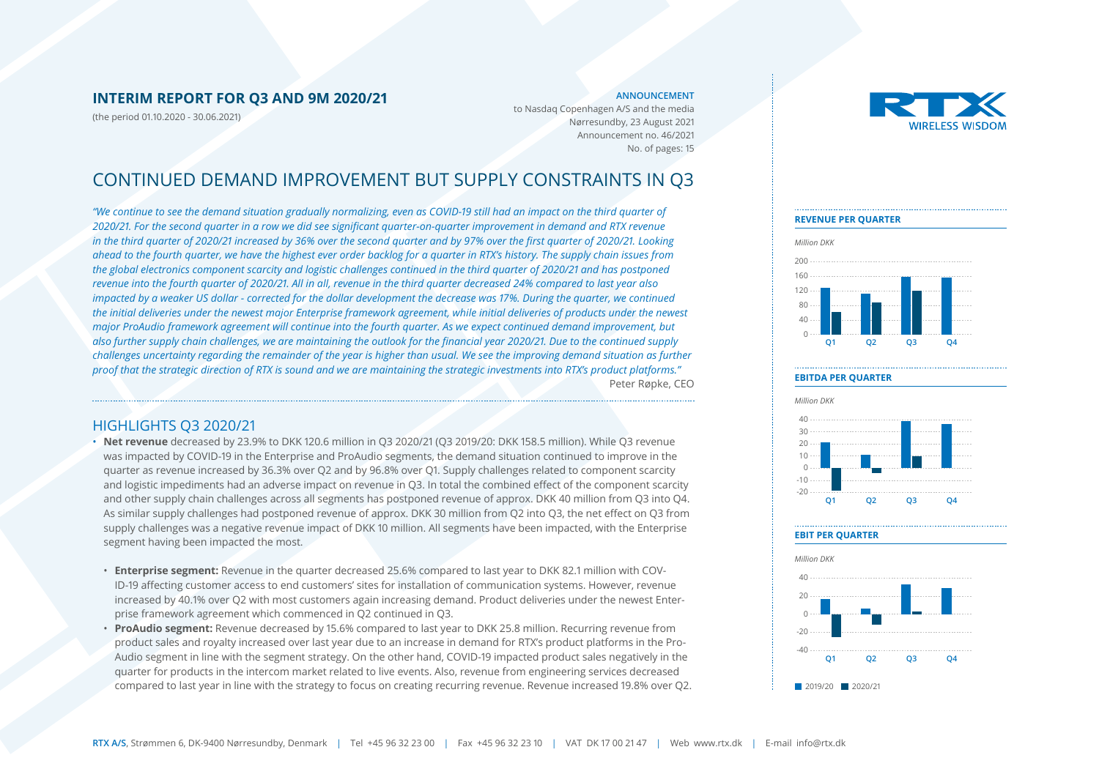#### **INTERIM REPORT FOR Q3 AND 9M 2020/21**

(the period 01.10.2020 - 30.06.2021)

#### **ANNOUNCEMENT**

to Nasdaq Copenhagen A/S and the media Nørresundby, 23 August 2021 Announcement no. 46/2021 No. of pages: 15

### CONTINUED DEMAND IMPROVEMENT BUT SUPPLY CONSTRAINTS IN Q3

*"We continue to see the demand situation gradually normalizing, even as COVID-19 still had an impact on the third quarter of 2020/21. For the second quarter in a row we did see significant quarter-on-quarter improvement in demand and RTX revenue in the third quarter of 2020/21 increased by 36% over the second quarter and by 97% over the first quarter of 2020/21. Looking ahead to the fourth quarter, we have the highest ever order backlog for a quarter in RTX's history. The supply chain issues from the global electronics component scarcity and logistic challenges continued in the third quarter of 2020/21 and has postponed revenue into the fourth quarter of 2020/21. All in all, revenue in the third quarter decreased 24% compared to last year also impacted by a weaker US dollar - corrected for the dollar development the decrease was 17%. During the quarter, we continued the initial deliveries under the newest major Enterprise framework agreement, while initial deliveries of products under the newest major ProAudio framework agreement will continue into the fourth quarter. As we expect continued demand improvement, but also further supply chain challenges, we are maintaining the outlook for the financial year 2020/21. Due to the continued supply challenges uncertainty regarding the remainder of the year is higher than usual. We see the improving demand situation as further proof that the strategic direction of RTX is sound and we are maintaining the strategic investments into RTX's product platforms."* Peter Røpke, CEO

#### HIGHLIGHTS Q3 2020/21

- **Net revenue** decreased by 23.9% to DKK 120.6 million in Q3 2020/21 (Q3 2019/20: DKK 158.5 million). While Q3 revenue was impacted by COVID-19 in the Enterprise and ProAudio segments, the demand situation continued to improve in the quarter as revenue increased by 36.3% over Q2 and by 96.8% over Q1. Supply challenges related to component scarcity and logistic impediments had an adverse impact on revenue in Q3. In total the combined effect of the component scarcity and other supply chain challenges across all segments has postponed revenue of approx. DKK 40 million from Q3 into Q4. As similar supply challenges had postponed revenue of approx. DKK 30 million from Q2 into Q3, the net effect on Q3 from supply challenges was a negative revenue impact of DKK 10 million. All segments have been impacted, with the Enterprise segment having been impacted the most.
- **Enterprise segment:** Revenue in the quarter decreased 25.6% compared to last year to DKK 82.1 million with COV-ID-19 affecting customer access to end customers' sites for installation of communication systems. However, revenue increased by 40.1% over Q2 with most customers again increasing demand. Product deliveries under the newest Enterprise framework agreement which commenced in Q2 continued in Q3.
- **ProAudio segment:** Revenue decreased by 15.6% compared to last year to DKK 25.8 million. Recurring revenue from product sales and royalty increased over last year due to an increase in demand for RTX's product platforms in the Pro-Audio segment in line with the segment strategy. On the other hand, COVID-19 impacted product sales negatively in the quarter for products in the intercom market related to live events. Also, revenue from engineering services decreased compared to last year in line with the strategy to focus on creating recurring revenue. Revenue increased 19.8% over Q2.



#### **Q1 Q2 Q3 Q4** 0 40  $80$ 120 160 200 *Million DKK* **REVENUE PER QUARTER**

#### **EBITDA PER QUARTER**



#### **EBIT PER QUARTER**

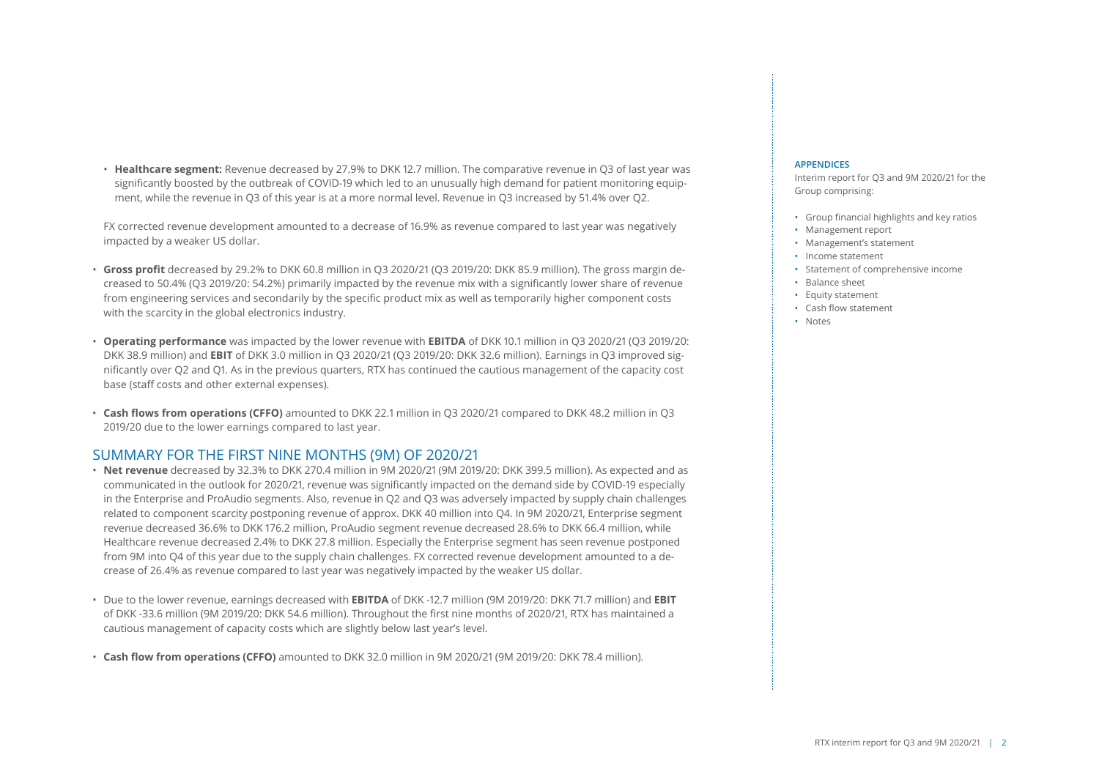• **Healthcare segment:** Revenue decreased by 27.9% to DKK 12.7 million. The comparative revenue in Q3 of last year was significantly boosted by the outbreak of COVID-19 which led to an unusually high demand for patient monitoring equipment, while the revenue in Q3 of this year is at a more normal level. Revenue in Q3 increased by 51.4% over Q2.

FX corrected revenue development amounted to a decrease of 16.9% as revenue compared to last year was negatively impacted by a weaker US dollar.

- **Gross profit** decreased by 29.2% to DKK 60.8 million in Q3 2020/21 (Q3 2019/20: DKK 85.9 million). The gross margin decreased to 50.4% (Q3 2019/20: 54.2%) primarily impacted by the revenue mix with a significantly lower share of revenue from engineering services and secondarily by the specific product mix as well as temporarily higher component costs with the scarcity in the global electronics industry.
- **Operating performance** was impacted by the lower revenue with **EBITDA** of DKK 10.1 million in Q3 2020/21 (Q3 2019/20: DKK 38.9 million) and **EBIT** of DKK 3.0 million in Q3 2020/21 (Q3 2019/20: DKK 32.6 million). Earnings in Q3 improved significantly over Q2 and Q1. As in the previous quarters, RTX has continued the cautious management of the capacity cost base (staff costs and other external expenses).
- **Cash flows from operations (CFFO)** amounted to DKK 22.1 million in Q3 2020/21 compared to DKK 48.2 million in Q3 2019/20 due to the lower earnings compared to last year.

### SUMMARY FOR THE FIRST NINE MONTHS (9M) OF 2020/21

- **Net revenue** decreased by 32.3% to DKK 270.4 million in 9M 2020/21 (9M 2019/20: DKK 399.5 million). As expected and as communicated in the outlook for 2020/21, revenue was significantly impacted on the demand side by COVID-19 especially in the Enterprise and ProAudio segments. Also, revenue in Q2 and Q3 was adversely impacted by supply chain challenges related to component scarcity postponing revenue of approx. DKK 40 million into Q4. In 9M 2020/21, Enterprise segment revenue decreased 36.6% to DKK 176.2 million, ProAudio segment revenue decreased 28.6% to DKK 66.4 million, while Healthcare revenue decreased 2.4% to DKK 27.8 million. Especially the Enterprise segment has seen revenue postponed from 9M into Q4 of this year due to the supply chain challenges. FX corrected revenue development amounted to a decrease of 26.4% as revenue compared to last year was negatively impacted by the weaker US dollar.
- Due to the lower revenue, earnings decreased with **EBITDA** of DKK -12.7 million (9M 2019/20: DKK 71.7 million) and **EBIT** of DKK -33.6 million (9M 2019/20: DKK 54.6 million). Throughout the first nine months of 2020/21, RTX has maintained a cautious management of capacity costs which are slightly below last year's level.
- **Cash flow from operations (CFFO)** amounted to DKK 32.0 million in 9M 2020/21 (9M 2019/20: DKK 78.4 million).

#### **APPENDICES**

Interim report for Q3 and 9M 2020/21 for the Group comprising:

- Group financial highlights and key ratios
- Management report
- Management's statement
- Income statement
- Statement of comprehensive income
- Balance sheet
- Equity statement
- Cash flow statement
- Notes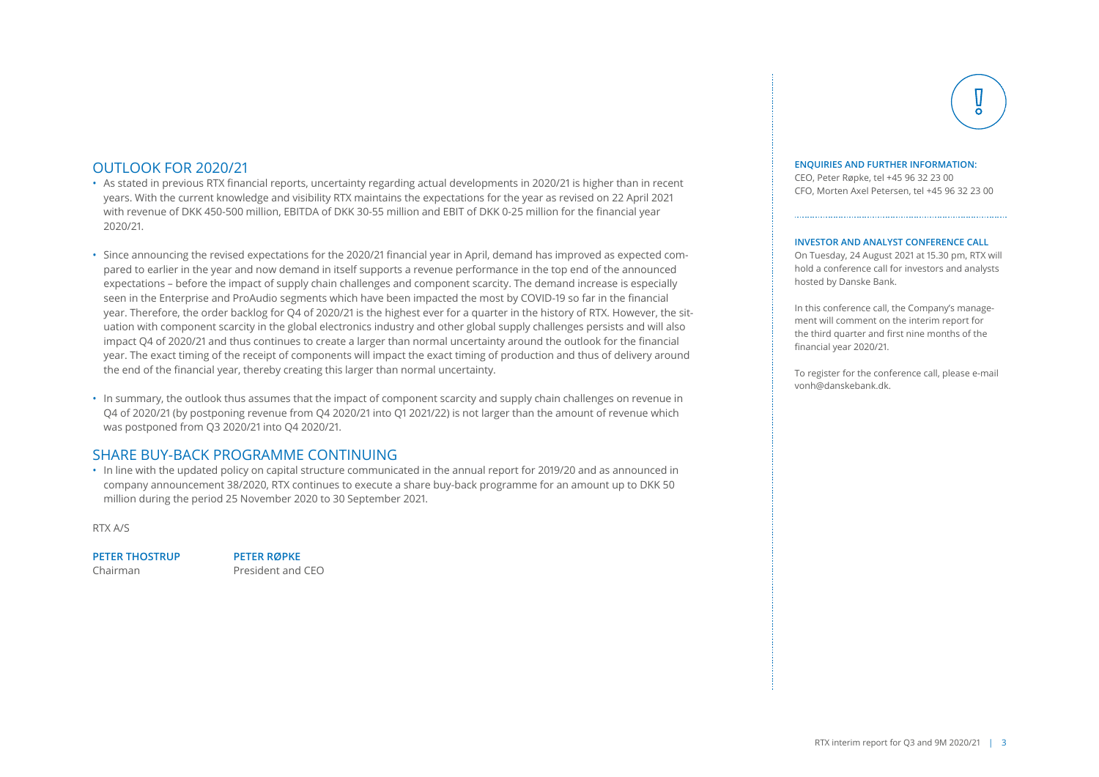#### OUTLOOK FOR 2020/21

- As stated in previous RTX financial reports, uncertainty regarding actual developments in 2020/21 is higher than in recent years. With the current knowledge and visibility RTX maintains the expectations for the year as revised on 22 April 2021 with revenue of DKK 450-500 million, EBITDA of DKK 30-55 million and EBIT of DKK 0-25 million for the financial year 2020/21.
- Since announcing the revised expectations for the 2020/21 financial year in April, demand has improved as expected compared to earlier in the year and now demand in itself supports a revenue performance in the top end of the announced expectations – before the impact of supply chain challenges and component scarcity. The demand increase is especially seen in the Enterprise and ProAudio segments which have been impacted the most by COVID-19 so far in the financial year. Therefore, the order backlog for Q4 of 2020/21 is the highest ever for a quarter in the history of RTX. However, the situation with component scarcity in the global electronics industry and other global supply challenges persists and will also impact Q4 of 2020/21 and thus continues to create a larger than normal uncertainty around the outlook for the financial year. The exact timing of the receipt of components will impact the exact timing of production and thus of delivery around the end of the financial year, thereby creating this larger than normal uncertainty.
- In summary, the outlook thus assumes that the impact of component scarcity and supply chain challenges on revenue in Q4 of 2020/21 (by postponing revenue from Q4 2020/21 into Q1 2021/22) is not larger than the amount of revenue which was postponed from Q3 2020/21 into Q4 2020/21.

### SHARE BUY-BACK PROGRAMME CONTINUING

• In line with the updated policy on capital structure communicated in the annual report for 2019/20 and as announced in company announcement 38/2020, RTX continues to execute a share buy-back programme for an amount up to DKK 50 million during the period 25 November 2020 to 30 September 2021.

RTX A/S

#### **PETER THOSTRUP PETER RØPKE**

Chairman President and CEO

#### **ENQUIRIES AND FURTHER INFORMATION:**

CEO, Peter Røpke, tel +45 96 32 23 00 CFO, Morten Axel Petersen, tel +45 96 32 23 00

#### **INVESTOR AND ANALYST CONFERENCE CALL**

On Tuesday, 24 August 2021 at 15.30 pm, RTX will hold a conference call for investors and analysts hosted by Danske Bank.

In this conference call, the Company's management will comment on the interim report for the third quarter and first nine months of the financial year 2020/21.

To register for the conference call, please e-mail vonh@danskebank.dk.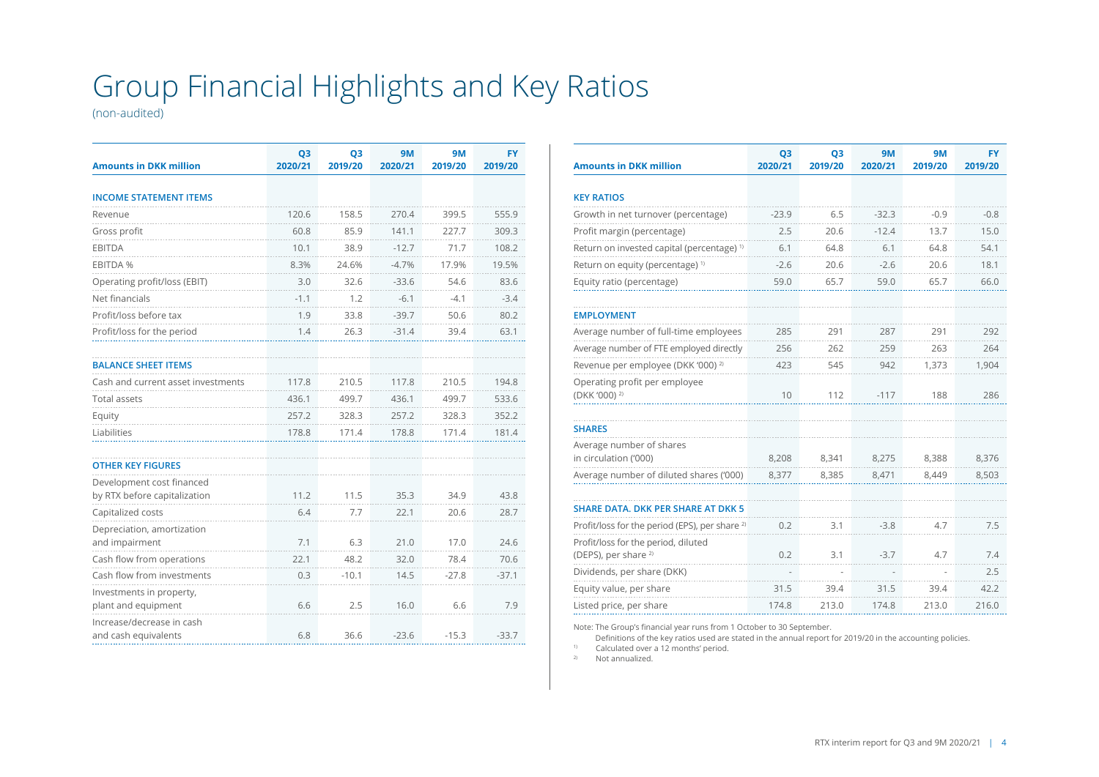# Group Financial Highlights and Key Ratios

(non-audited)

| <b>Amounts in DKK million</b>                     | Q <sub>3</sub><br>2020/21 | Q <sub>3</sub><br>2019/20 | <b>9M</b><br>2020/21 | <b>9M</b><br>2019/20 | <b>FY</b><br>2019/20 |
|---------------------------------------------------|---------------------------|---------------------------|----------------------|----------------------|----------------------|
|                                                   |                           |                           |                      |                      |                      |
| <b>INCOME STATEMENT ITEMS</b>                     |                           |                           |                      |                      |                      |
| Revenue                                           | 120.6                     | 158.5                     | 270.4                | 399.5                | 555.9                |
| Gross profit                                      | 60.8                      | 85.9                      | 141.1                | 227.7                | 309.3                |
| <b>EBITDA</b>                                     | 10.1                      | 38.9                      | $-12.7$              | 71.7                 | 108.2                |
| EBITDA %                                          | 8.3%                      | 24.6%                     | $-4.7%$              | 17.9%                | 19.5%                |
| Operating profit/loss (EBIT)                      | 3.0                       | 32.6                      | $-33.6$              | 54.6                 | 83.6                 |
| Net financials                                    | $-1.1$                    | 1.2                       | $-6.1$               | $-4.1$               | $-3.4$               |
| Profit/loss before tax                            | 1.9                       | 33.8                      | $-39.7$              | 50.6                 | 80.2                 |
| Profit/loss for the period                        | 1.4                       | 26.3                      | $-31.4$              | 39.4                 | 63.1                 |
|                                                   |                           |                           |                      |                      |                      |
| <b>BALANCE SHEET ITEMS</b>                        |                           |                           |                      |                      |                      |
| Cash and current asset investments                | 117.8                     | 210.5                     | 117.8                | 210.5                | 194.8                |
| <b>Total assets</b>                               | 436.1                     | 499.7                     | 436.1                | 499.7                | 533.6                |
| Equity                                            | 257.2                     | 328.3                     | 257.2                | 328.3                | 352.2                |
| Liabilities                                       | 178.8                     | 171.4                     | 178.8                | 171.4                | 181.4                |
|                                                   |                           |                           |                      |                      |                      |
| <b>OTHER KEY FIGURES</b>                          |                           |                           |                      |                      |                      |
| Development cost financed                         |                           |                           |                      |                      |                      |
| by RTX before capitalization                      | 11.2                      | 11.5                      | 35.3                 | 34.9                 | 43.8                 |
| Capitalized costs                                 | 6.4                       | 7.7                       | 22.1                 | 20.6                 | 28.7                 |
| Depreciation, amortization                        |                           |                           |                      |                      |                      |
| and impairment                                    | 7.1                       | 6.3                       | 21.0                 | 17.0                 | 24.6                 |
| Cash flow from operations                         | 22.1                      | 48.2                      | 32.0                 | 78.4                 | 70.6                 |
| Cash flow from investments                        | 0.3                       | $-10.1$                   | 14.5                 | $-27.8$              | $-37.1$              |
| Investments in property,<br>plant and equipment   | 6.6                       | 2.5                       | 16.0                 | 6.6                  | 7.9                  |
| Increase/decrease in cash<br>and cash equivalents | 6.8                       | 36.6                      | $-23.6$              | $-15.3$              | $-33.7$              |

| <b>Amounts in DKK million</b>                                          | Q <sub>3</sub><br>2020/21 | Q <sub>3</sub><br>2019/20 | 9M<br>2020/21 | <b>9M</b><br>2019/20 | <b>FY</b><br>2019/20 |
|------------------------------------------------------------------------|---------------------------|---------------------------|---------------|----------------------|----------------------|
|                                                                        |                           |                           |               |                      |                      |
| <b>KEY RATIOS</b>                                                      |                           |                           |               |                      |                      |
| Growth in net turnover (percentage)                                    | $-23.9$                   | 6.5                       | $-32.3$       | $-0.9$               | $-0.8$               |
| Profit margin (percentage)                                             | 2.5                       | 20.6                      | $-12.4$       | 13.7                 | 15.0                 |
| Return on invested capital (percentage) <sup>1)</sup>                  | 6.1                       | 64.8                      | 6.1           | 64.8                 | 54.1                 |
| Return on equity (percentage) <sup>1)</sup>                            | $-2.6$                    | 20.6                      | $-2.6$        | 20.6                 | 18.1                 |
| Equity ratio (percentage)                                              | 59.0                      | 65.7                      | 59.0          | 65.7                 | 66.0                 |
| <b>EMPLOYMENT</b>                                                      |                           |                           |               |                      |                      |
| Average number of full-time employees                                  | 285                       | 291                       | 287           | 291                  | 292                  |
| Average number of FTE employed directly                                | 256                       | 262                       | 259           | 263                  | 264                  |
| Revenue per employee (DKK '000) <sup>2)</sup>                          | 423                       | 545                       | 942           | 1,373                | 1,904                |
| Operating profit per employee<br>(DKK '000) <sup>2)</sup>              | 10                        | 112                       | $-117$        | 188                  | 286                  |
|                                                                        |                           |                           |               |                      |                      |
| <b>SHARES</b>                                                          |                           |                           |               |                      |                      |
| Average number of shares<br>in circulation ('000)                      | 8,208                     | 8,341                     | 8,275         | 8,388                | 8,376                |
| Average number of diluted shares ('000)                                | 8,377                     | 8,385                     | 8,471         | 8,449                | 8,503                |
|                                                                        |                           |                           |               |                      |                      |
| <b>SHARE DATA. DKK PER SHARE AT DKK 5</b>                              |                           |                           |               |                      |                      |
| Profit/loss for the period (EPS), per share <sup>2)</sup>              | 0.2                       | 3.1                       | $-3.8$        | 4.7                  | 7.5                  |
| Profit/loss for the period, diluted<br>(DEPS), per share <sup>2)</sup> | 0.2                       | 3.1                       | $-3.7$        | 4.7                  | 7.4                  |
| Dividends, per share (DKK)                                             |                           |                           |               |                      | 2.5                  |
| Equity value, per share                                                | 31.5                      | 39.4                      | 31.5          | 39.4                 | 42.2                 |
| Listed price, per share                                                | 174.8                     | 213.0                     | 174.8         | 213.0                | 216.0                |

Note: The Group's financial year runs from 1 October to 30 September.

Definitions of the key ratios used are stated in the annual report for 2019/20 in the accounting policies. <sup>1)</sup> Calculated over a 12 months' period.<br><sup>2)</sup> Not annualized

Not annualized.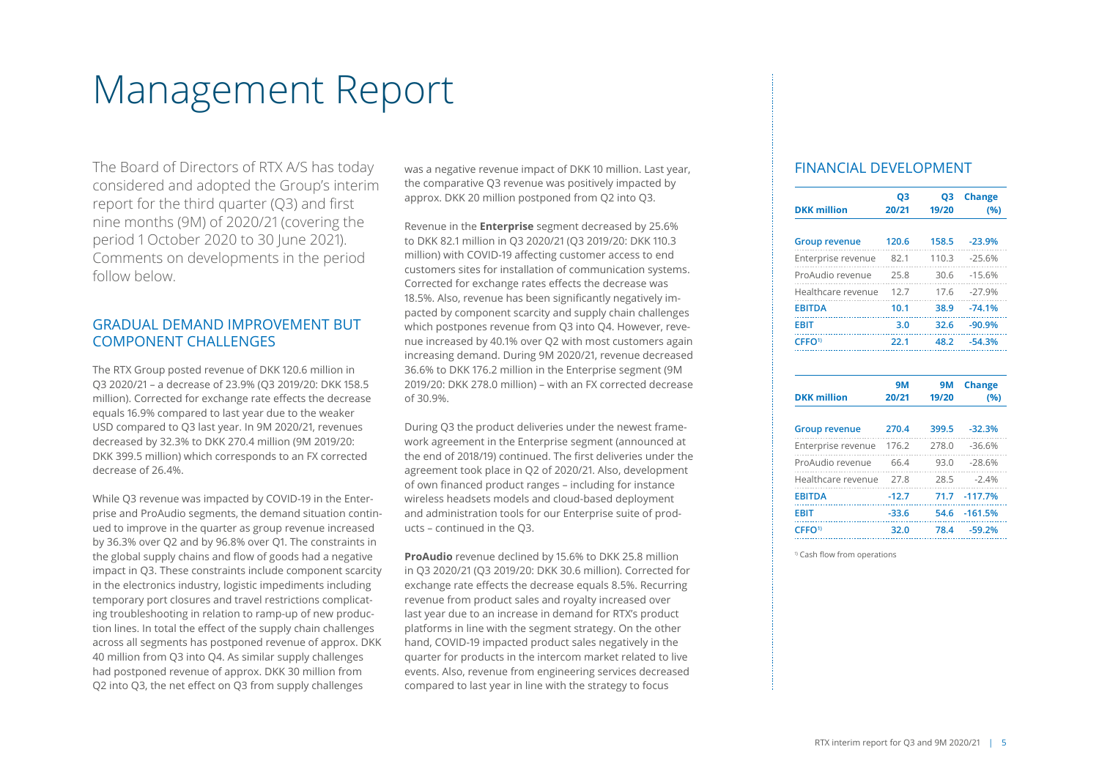# Management Report

The Board of Directors of RTX A/S has today considered and adopted the Group's interim report for the third quarter (Q3) and first nine months (9M) of 2020/21 (covering the period 1 October 2020 to 30 June 2021). Comments on developments in the period follow below.

### GRADUAL DEMAND IMPROVEMENT BUT COMPONENT CHALLENGES

The RTX Group posted revenue of DKK 120.6 million in Q3 2020/21 – a decrease of 23.9% (Q3 2019/20: DKK 158.5 million). Corrected for exchange rate effects the decrease equals 16.9% compared to last year due to the weaker USD compared to Q3 last year. In 9M 2020/21, revenues decreased by 32.3% to DKK 270.4 million (9M 2019/20: DKK 399.5 million) which corresponds to an FX corrected decrease of 26.4%.

While Q3 revenue was impacted by COVID-19 in the Enterprise and ProAudio segments, the demand situation continued to improve in the quarter as group revenue increased by 36.3% over Q2 and by 96.8% over Q1. The constraints in the global supply chains and flow of goods had a negative impact in Q3. These constraints include component scarcity in the electronics industry, logistic impediments including temporary port closures and travel restrictions complicating troubleshooting in relation to ramp-up of new production lines. In total the effect of the supply chain challenges across all segments has postponed revenue of approx. DKK 40 million from Q3 into Q4. As similar supply challenges had postponed revenue of approx. DKK 30 million from Q2 into Q3, the net effect on Q3 from supply challenges

was a negative revenue impact of DKK 10 million. Last year, the comparative Q3 revenue was positively impacted by approx. DKK 20 million postponed from Q2 into Q3.

Revenue in the **Enterprise** segment decreased by 25.6% to DKK 82.1 million in Q3 2020/21 (Q3 2019/20: DKK 110.3 million) with COVID-19 affecting customer access to end customers sites for installation of communication systems. Corrected for exchange rates effects the decrease was 18.5%. Also, revenue has been significantly negatively impacted by component scarcity and supply chain challenges which postpones revenue from Q3 into Q4. However, revenue increased by 40.1% over Q2 with most customers again increasing demand. During 9M 2020/21, revenue decreased 36.6% to DKK 176.2 million in the Enterprise segment (9M 2019/20: DKK 278.0 million) – with an FX corrected decrease of 30.9%.

During Q3 the product deliveries under the newest framework agreement in the Enterprise segment (announced at the end of 2018/19) continued. The first deliveries under the agreement took place in Q2 of 2020/21. Also, development of own financed product ranges – including for instance wireless headsets models and cloud-based deployment and administration tools for our Enterprise suite of products – continued in the Q3.

**ProAudio** revenue declined by 15.6% to DKK 25.8 million in Q3 2020/21 (Q3 2019/20: DKK 30.6 million). Corrected for exchange rate effects the decrease equals 8.5%. Recurring revenue from product sales and royalty increased over last year due to an increase in demand for RTX's product platforms in line with the segment strategy. On the other hand, COVID-19 impacted product sales negatively in the quarter for products in the intercom market related to live events. Also, revenue from engineering services decreased compared to last year in line with the strategy to focus

#### FINANCIAL DEVELOPMENT

| <b>DKK million</b>   | Q3<br>20/21 | Ο3<br>19/20 | <b>Change</b><br>(96) |
|----------------------|-------------|-------------|-----------------------|
| <b>Group revenue</b> | 120.6       | 158.5       | $-23.9%$              |
| Enterprise revenue   | 82.1        | 110.3       | $-25.6%$              |
| ProAudio revenue     | 25.8        | 30.6        | $-15.6%$              |
| Healthcare revenue   | 12.7        | 17.6        | $-27.9%$              |
| <b>EBITDA</b>        | 10.1        | 38.9        | $-74.1%$              |
| FRIT                 | 3.0         | 32.6        | $-90.9%$              |
| CFFO <sup>1</sup>    | 22.1        | 48.2        | $-54.3%$              |
|                      |             |             |                       |

| <b>DKK million</b>   | <b>9M</b><br>20/21 | <b>9M</b><br>19/20 | <b>Change</b><br>(%) |
|----------------------|--------------------|--------------------|----------------------|
| <b>Group revenue</b> | 270.4              | 399.5              | $-32.3%$             |
| Enterprise revenue   | 176.2              | 278.0              | $-36.6%$             |
| ProAudio revenue     | 66.4               | 93.0               | $-28.6%$             |
| Healthcare revenue   | 27.8               | 28.5               | $-2.4%$              |
| <b>EBITDA</b>        | $-12.7$            | 71.7               | $-117.7%$            |
| <b>EBIT</b>          | $-33.6$            | 54.6               | $-161.5%$            |
| CFFO <sup>1)</sup>   | 32.0               | 78.4               | $-59.2%$             |

<sup>1)</sup> Cash flow from operations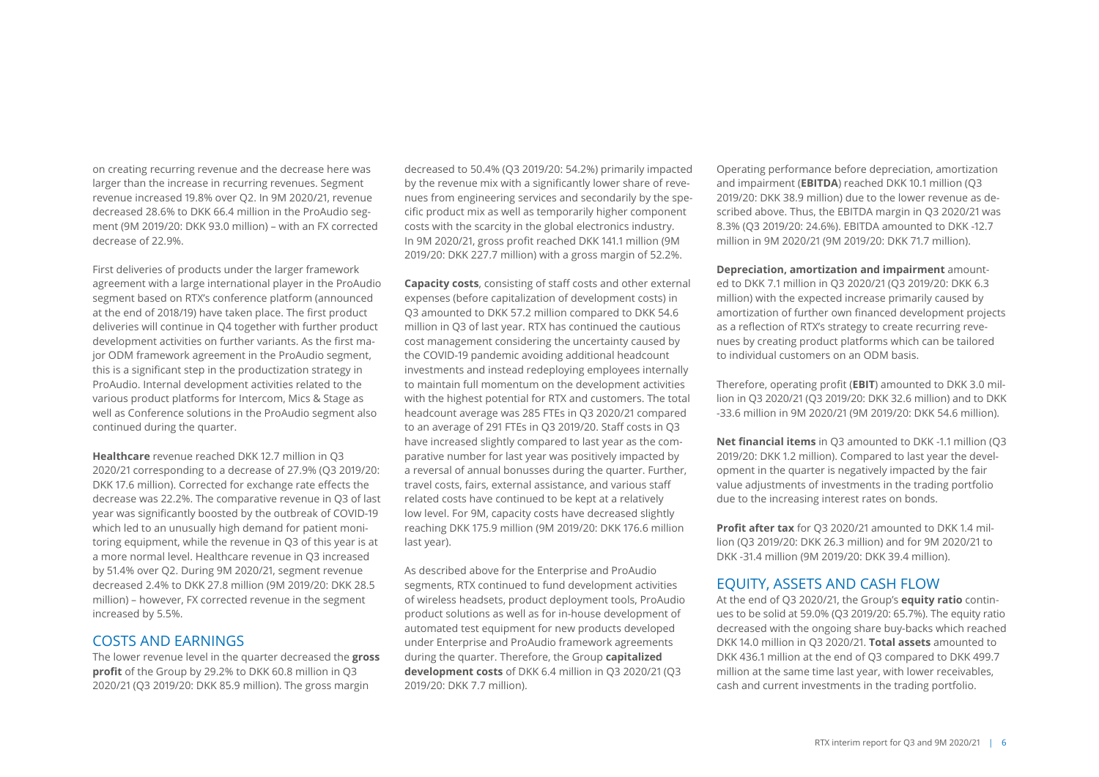on creating recurring revenue and the decrease here was larger than the increase in recurring revenues. Segment revenue increased 19.8% over Q2. In 9M 2020/21, revenue decreased 28.6% to DKK 66.4 million in the ProAudio segment (9M 2019/20: DKK 93.0 million) – with an FX corrected decrease of 22.9%.

First deliveries of products under the larger framework agreement with a large international player in the ProAudio segment based on RTX's conference platform (announced at the end of 2018/19) have taken place. The first product deliveries will continue in Q4 together with further product development activities on further variants. As the first major ODM framework agreement in the ProAudio segment, this is a significant step in the productization strategy in ProAudio. Internal development activities related to the various product platforms for Intercom, Mics & Stage as well as Conference solutions in the ProAudio segment also continued during the quarter.

**Healthcare** revenue reached DKK 12.7 million in Q3 2020/21 corresponding to a decrease of 27.9% (Q3 2019/20: DKK 17.6 million). Corrected for exchange rate effects the decrease was 22.2%. The comparative revenue in Q3 of last year was significantly boosted by the outbreak of COVID-19 which led to an unusually high demand for patient monitoring equipment, while the revenue in Q3 of this year is at a more normal level. Healthcare revenue in Q3 increased by 51.4% over Q2. During 9M 2020/21, segment revenue decreased 2.4% to DKK 27.8 million (9M 2019/20: DKK 28.5 million) – however, FX corrected revenue in the segment increased by 5.5%.

#### COSTS AND EARNINGS

The lower revenue level in the quarter decreased the **gross profit** of the Group by 29.2% to DKK 60.8 million in Q3 2020/21 (Q3 2019/20: DKK 85.9 million). The gross margin

decreased to 50.4% (Q3 2019/20: 54.2%) primarily impacted by the revenue mix with a significantly lower share of revenues from engineering services and secondarily by the specific product mix as well as temporarily higher component costs with the scarcity in the global electronics industry. In 9M 2020/21, gross profit reached DKK 141.1 million (9M 2019/20: DKK 227.7 million) with a gross margin of 52.2%.

**Capacity costs**, consisting of staff costs and other external expenses (before capitalization of development costs) in Q3 amounted to DKK 57.2 million compared to DKK 54.6 million in Q3 of last year. RTX has continued the cautious cost management considering the uncertainty caused by the COVID-19 pandemic avoiding additional headcount investments and instead redeploying employees internally to maintain full momentum on the development activities with the highest potential for RTX and customers. The total headcount average was 285 FTEs in Q3 2020/21 compared to an average of 291 FTEs in Q3 2019/20. Staff costs in Q3 have increased slightly compared to last year as the comparative number for last year was positively impacted by a reversal of annual bonusses during the quarter. Further, travel costs, fairs, external assistance, and various staff related costs have continued to be kept at a relatively low level. For 9M, capacity costs have decreased slightly reaching DKK 175.9 million (9M 2019/20: DKK 176.6 million last year).

As described above for the Enterprise and ProAudio segments, RTX continued to fund development activities of wireless headsets, product deployment tools, ProAudio product solutions as well as for in-house development of automated test equipment for new products developed under Enterprise and ProAudio framework agreements during the quarter. Therefore, the Group **capitalized development costs** of DKK 6.4 million in Q3 2020/21 (Q3 2019/20: DKK 7.7 million).

Operating performance before depreciation, amortization and impairment (**EBITDA**) reached DKK 10.1 million (Q3 2019/20: DKK 38.9 million) due to the lower revenue as described above. Thus, the EBITDA margin in Q3 2020/21 was 8.3% (Q3 2019/20: 24.6%). EBITDA amounted to DKK -12.7 million in 9M 2020/21 (9M 2019/20: DKK 71.7 million).

**Depreciation, amortization and impairment** amounted to DKK 7.1 million in Q3 2020/21 (Q3 2019/20: DKK 6.3 million) with the expected increase primarily caused by amortization of further own financed development projects as a reflection of RTX's strategy to create recurring revenues by creating product platforms which can be tailored to individual customers on an ODM basis.

Therefore, operating profit (**EBIT**) amounted to DKK 3.0 million in Q3 2020/21 (Q3 2019/20: DKK 32.6 million) and to DKK -33.6 million in 9M 2020/21 (9M 2019/20: DKK 54.6 million).

**Net financial items** in Q3 amounted to DKK -1.1 million (Q3 2019/20: DKK 1.2 million). Compared to last year the development in the quarter is negatively impacted by the fair value adjustments of investments in the trading portfolio due to the increasing interest rates on bonds.

**Profit after tax** for Q3 2020/21 amounted to DKK 1.4 million (Q3 2019/20: DKK 26.3 million) and for 9M 2020/21 to DKK -31.4 million (9M 2019/20: DKK 39.4 million).

#### EQUITY, ASSETS AND CASH FLOW

At the end of Q3 2020/21, the Group's **equity ratio** continues to be solid at 59.0% (Q3 2019/20: 65.7%). The equity ratio decreased with the ongoing share buy-backs which reached DKK 14.0 million in Q3 2020/21. **Total assets** amounted to DKK 436.1 million at the end of Q3 compared to DKK 499.7 million at the same time last year, with lower receivables, cash and current investments in the trading portfolio.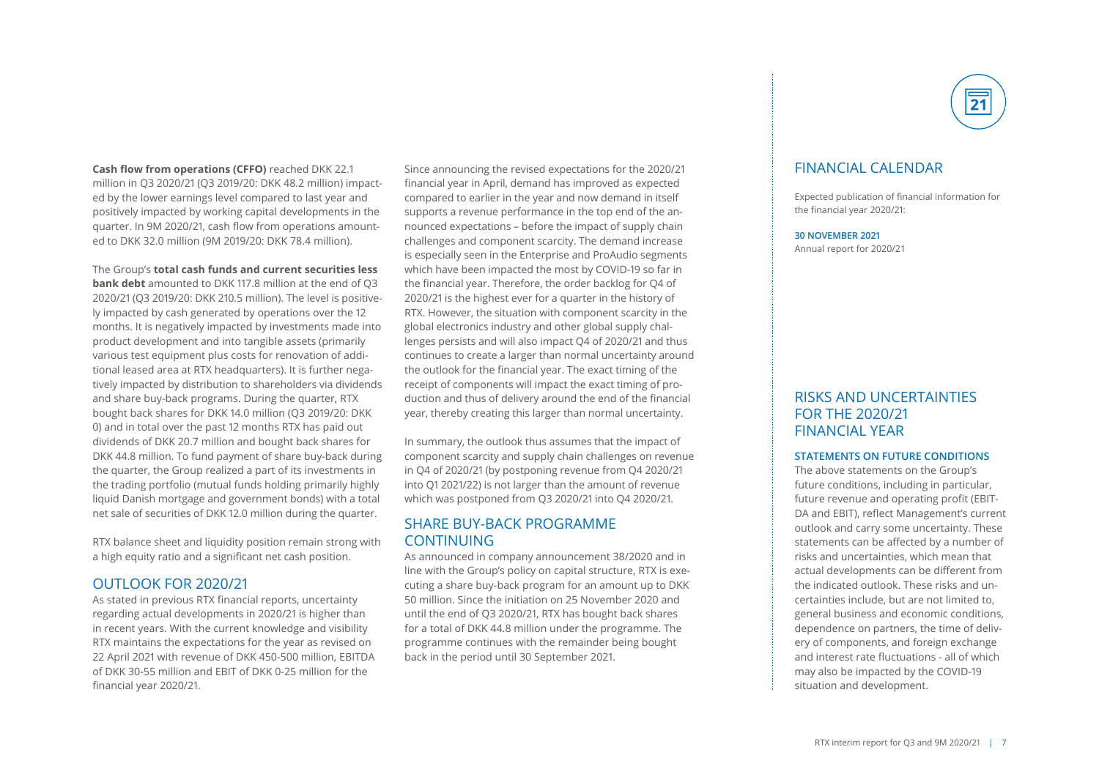**Cash flow from operations (CFFO)** reached DKK 22.1 million in Q3 2020/21 (Q3 2019/20: DKK 48.2 million) impacted by the lower earnings level compared to last year and positively impacted by working capital developments in the quarter. In 9M 2020/21, cash flow from operations amounted to DKK 32.0 million (9M 2019/20: DKK 78.4 million).

The Group's **total cash funds and current securities less bank debt** amounted to DKK 117.8 million at the end of Q3 2020/21 (Q3 2019/20: DKK 210.5 million). The level is positively impacted by cash generated by operations over the 12 months. It is negatively impacted by investments made into product development and into tangible assets (primarily various test equipment plus costs for renovation of additional leased area at RTX headquarters). It is further negatively impacted by distribution to shareholders via dividends and share buy-back programs. During the quarter, RTX bought back shares for DKK 14.0 million (Q3 2019/20: DKK 0) and in total over the past 12 months RTX has paid out dividends of DKK 20.7 million and bought back shares for DKK 44.8 million. To fund payment of share buy-back during the quarter, the Group realized a part of its investments in the trading portfolio (mutual funds holding primarily highly liquid Danish mortgage and government bonds) with a total net sale of securities of DKK 12.0 million during the quarter.

RTX balance sheet and liquidity position remain strong with a high equity ratio and a significant net cash position.

#### OUTLOOK FOR 2020/21

As stated in previous RTX financial reports, uncertainty regarding actual developments in 2020/21 is higher than in recent years. With the current knowledge and visibility RTX maintains the expectations for the year as revised on 22 April 2021 with revenue of DKK 450-500 million, EBITDA of DKK 30-55 million and EBIT of DKK 0-25 million for the financial year 2020/21.

Since announcing the revised expectations for the 2020/21 financial year in April, demand has improved as expected compared to earlier in the year and now demand in itself supports a revenue performance in the top end of the announced expectations – before the impact of supply chain challenges and component scarcity. The demand increase is especially seen in the Enterprise and ProAudio segments which have been impacted the most by COVID-19 so far in the financial year. Therefore, the order backlog for Q4 of 2020/21 is the highest ever for a quarter in the history of RTX. However, the situation with component scarcity in the global electronics industry and other global supply challenges persists and will also impact Q4 of 2020/21 and thus continues to create a larger than normal uncertainty around the outlook for the financial year. The exact timing of the receipt of components will impact the exact timing of production and thus of delivery around the end of the financial year, thereby creating this larger than normal uncertainty.

In summary, the outlook thus assumes that the impact of component scarcity and supply chain challenges on revenue in Q4 of 2020/21 (by postponing revenue from Q4 2020/21 into Q1 2021/22) is not larger than the amount of revenue which was postponed from Q3 2020/21 into Q4 2020/21.

#### SHARE BUY-BACK PROGRAMME CONTINUING

As announced in company announcement 38/2020 and in line with the Group's policy on capital structure, RTX is executing a share buy-back program for an amount up to DKK 50 million. Since the initiation on 25 November 2020 and until the end of Q3 2020/21, RTX has bought back shares for a total of DKK 44.8 million under the programme. The programme continues with the remainder being bought back in the period until 30 September 2021.



### FINANCIAL CALENDAR

Expected publication of financial information for the financial year 2020/21:

**30 NOVEMBER 2021** Annual report for 2020/21

### RISKS AND UNCERTAINTIES FOR THE 2020/21 FINANCIAL YEAR

#### **STATEMENTS ON FUTURE CONDITIONS**

The above statements on the Group's future conditions, including in particular, future revenue and operating profit (EBIT-DA and EBIT), reflect Management's current outlook and carry some uncertainty. These statements can be affected by a number of risks and uncertainties, which mean that actual developments can be different from the indicated outlook. These risks and uncertainties include, but are not limited to, general business and economic conditions, dependence on partners, the time of delivery of components, and foreign exchange and interest rate fluctuations - all of which may also be impacted by the COVID-19 situation and development.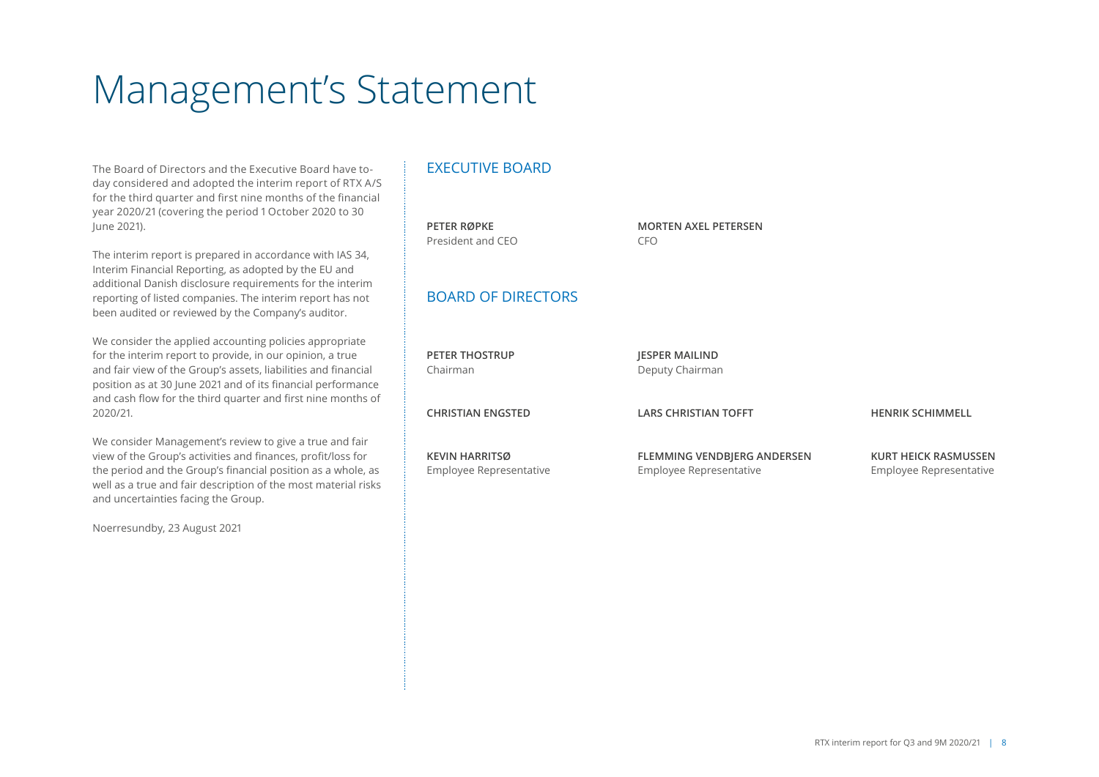# Management's Statement

The Board of Directors and the Executive Board have today considered and adopted the interim report of RTX A/S for the third quarter and first nine months of the financial year 2020/21 (covering the period 1 October 2020 to 30 June 2021).

The interim report is prepared in accordance with IAS 34, Interim Financial Reporting, as adopted by the EU and additional Danish disclosure requirements for the interim reporting of listed companies. The interim report has not been audited or reviewed by the Company's auditor.

We consider the applied accounting policies appropriate for the interim report to provide, in our opinion, a true and fair view of the Group's assets, liabilities and financial position as at 30 June 2021 and of its financial performance and cash flow for the third quarter and first nine months of 2020/21.

We consider Management's review to give a true and fair view of the Group's activities and finances, profit/loss for the period and the Group's financial position as a whole, as well as a true and fair description of the most material risks and uncertainties facing the Group.

Noerresundby, 23 August 2021

### EXECUTIVE BOARD

| PETER RØPKE<br>President and CEO                 | <b>MORTEN AXEL PETERSEN</b><br><b>CFO</b>              |                                                        |
|--------------------------------------------------|--------------------------------------------------------|--------------------------------------------------------|
| <b>BOARD OF DIRECTORS</b>                        |                                                        |                                                        |
| <b>PETER THOSTRUP</b><br>Chairman                | <b>JESPER MAILIND</b><br>Deputy Chairman               |                                                        |
| <b>CHRISTIAN ENGSTED</b>                         | <b>LARS CHRISTIAN TOFFT</b>                            | <b>HENRIK SCHIMMELL</b>                                |
| <b>KEVIN HARRITSØ</b><br>Employee Representative | FLEMMING VENDBJERG ANDERSEN<br>Employee Representative | <b>KURT HEICK RASMUSSEN</b><br>Employee Representative |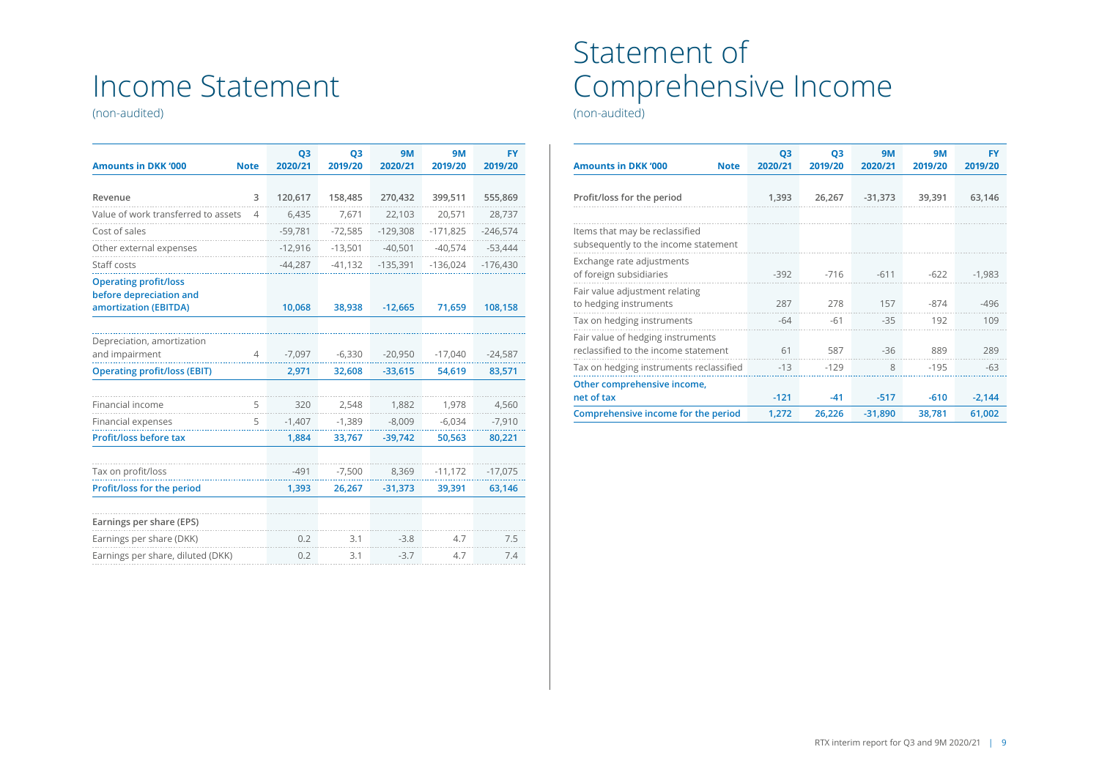# Income Statement

(non-audited)

| <b>Amounts in DKK '000</b>                              | <b>Note</b>    | Q <sub>3</sub><br>2020/21 | Q <sub>3</sub><br>2019/20 | <b>9M</b><br>2020/21 | 9M<br>2019/20 | <b>FY</b><br>2019/20 |
|---------------------------------------------------------|----------------|---------------------------|---------------------------|----------------------|---------------|----------------------|
|                                                         |                |                           |                           |                      |               |                      |
| Revenue                                                 | 3              | 120,617                   | 158,485                   | 270,432              | 399,511       | 555,869              |
| Value of work transferred to assets                     | $\overline{4}$ | 6,435                     | 7,671                     | 22,103               | 20,571        | 28,737               |
| Cost of sales                                           |                | $-59,781$                 | $-72,585$                 | $-129,308$           | $-171,825$    | $-246,574$           |
| Other external expenses                                 |                | $-12,916$                 | $-13,501$                 | $-40,501$            | $-40,574$     | $-53,444$            |
| Staff costs                                             |                | $-44,287$                 | $-41,132$                 | $-135,391$           | $-136,024$    | $-176,430$           |
| <b>Operating profit/loss</b><br>before depreciation and |                |                           |                           |                      |               |                      |
| amortization (EBITDA)                                   |                | 10,068                    | 38,938                    | $-12,665$            | 71,659        | 108,158              |
|                                                         |                |                           |                           |                      |               |                      |
| Depreciation, amortization                              |                |                           |                           |                      |               |                      |
| and impairment                                          | $\overline{4}$ | $-7,097$                  | $-6,330$                  | $-20,950$            | $-17,040$     | $-24,587$            |
| <b>Operating profit/loss (EBIT)</b>                     |                | 2,971                     | 32,608                    | $-33,615$            | 54,619        | 83,571               |
|                                                         |                |                           |                           |                      |               |                      |
| Financial income                                        | 5              | 320                       | 2,548                     | 1,882                | 1,978         | 4,560                |
| Financial expenses                                      | 5              | $-1,407$                  | $-1,389$                  | $-8,009$             | $-6,034$      | $-7,910$             |
| Profit/loss before tax                                  |                | 1,884                     | 33,767                    | $-39,742$            | 50,563        | 80,221               |
|                                                         |                |                           |                           |                      |               |                      |
| Tax on profit/loss                                      |                | $-491$                    | $-7,500$                  | 8,369                | $-11,172$     | $-17,075$            |
| Profit/loss for the period                              |                | 1,393                     | 26,267                    | $-31,373$            | 39,391        | 63,146               |
| Earnings per share (EPS)                                |                |                           |                           |                      |               |                      |
| Earnings per share (DKK)                                |                | 0.2                       | 3.1                       | $-3.8$               | 4.7           | 7.5                  |
| Earnings per share, diluted (DKK)                       |                | 0.2                       | 3.1                       | $-3.7$               | 4.7           | 7.4                  |
|                                                         |                |                           |                           |                      |               |                      |

# Statement of Comprehensive Income

(non-audited)

| <b>Amounts in DKK '000</b><br><b>Note</b>                                 | Q <sub>3</sub><br>2020/21 | Q <sub>3</sub><br>2019/20 | <b>9M</b><br>2020/21 | <b>9M</b><br>2019/20 | FY<br>2019/20 |
|---------------------------------------------------------------------------|---------------------------|---------------------------|----------------------|----------------------|---------------|
| Profit/loss for the period                                                | 1,393                     | 26,267                    | $-31,373$            | 39,391               | 63,146        |
| Items that may be reclassified<br>subsequently to the income statement    |                           |                           |                      |                      |               |
| Exchange rate adjustments<br>of foreign subsidiaries                      | $-392$                    | $-716$                    | $-611$               | $-622$               | $-1,983$      |
| Fair value adjustment relating<br>to hedging instruments                  | 287                       | 278                       | 157                  | $-874$               | $-496$        |
| Tax on hedging instruments                                                | $-64$                     | $-61$                     | $-35$                | 192                  | 109           |
| Fair value of hedging instruments<br>reclassified to the income statement | 61                        | 587                       | $-36$                | 889                  | 289           |
| Tax on hedging instruments reclassified                                   | $-13$                     | $-129$                    | 8                    | $-195$               | $-63$         |
| Other comprehensive income,<br>net of tax                                 | $-121$                    | $-41$                     | $-517$               | $-610$               | $-2,144$      |
| Comprehensive income for the period                                       | 1,272                     | 26,226                    | $-31,890$            | 38,781               | 61,002        |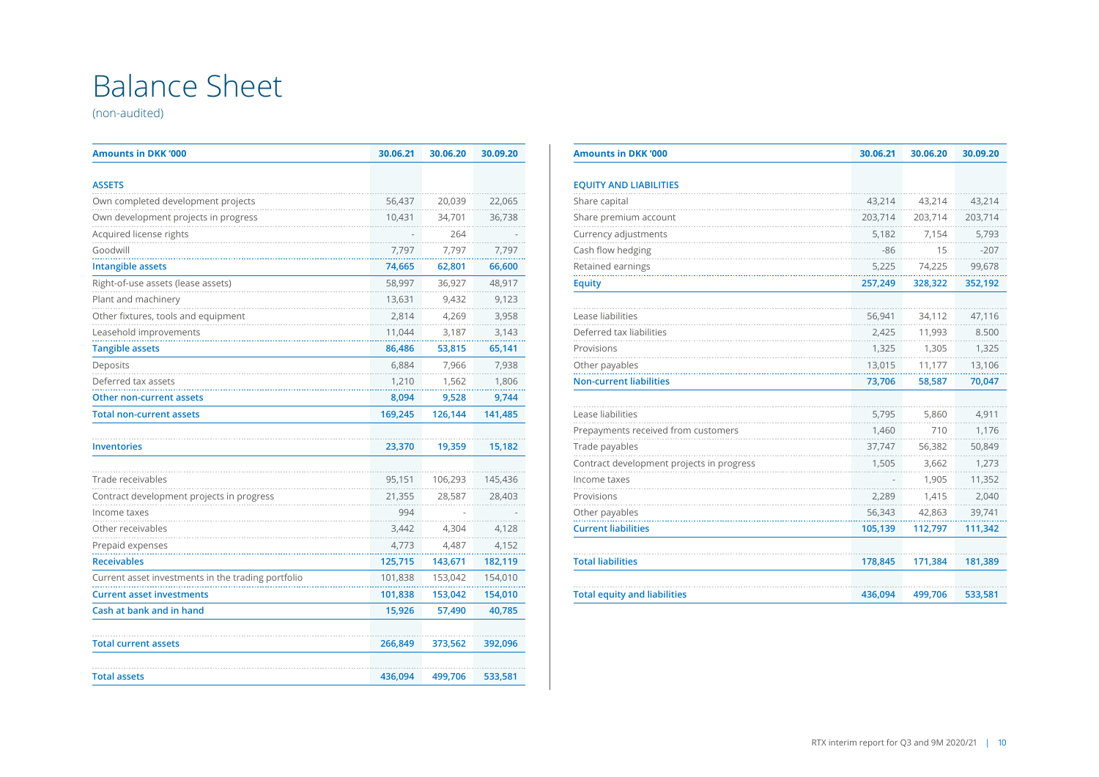# Balance Sheet

(non-audited)

| <b>Amounts in DKK '000</b>                         | 30.06.21 | 30.06.20 | 30.09.20 |
|----------------------------------------------------|----------|----------|----------|
| <b>ASSETS</b>                                      |          |          |          |
| Own completed development projects                 | 56,437   | 20,039   | 22,065   |
| Own development projects in progress               | 10,431   | 34,701   | 36,738   |
| Acquired license rights                            |          | 264      |          |
| Goodwill                                           | 7.797    | 7.797    | 7.797    |
| <b>Intangible assets</b>                           | 74,665   | 62,801   | 66,600   |
| Right-of-use assets (lease assets)                 | 58,997   | 36,927   | 48,917   |
| Plant and machinery                                | 13,631   | 9,432    | 9,123    |
| Other fixtures, tools and equipment                | 2,814    | 4,269    | 3,958    |
| Leasehold improvements                             | 11,044   | 3,187    | 3,143    |
| <b>Tangible assets</b>                             | 86,486   | 53,815   | 65,141   |
| Deposits                                           | 6,884    | 7,966    | 7,938    |
| Deferred tax assets                                | 1,210    | 1,562    | 1,806    |
| Other non-current assets                           | 8,094    | 9,528    | 9,744    |
| <b>Total non-current assets</b>                    | 169,245  | 126,144  | 141,485  |
|                                                    |          |          |          |
| <b>Inventories</b>                                 | 23,370   | 19,359   | 15,182   |
| Trade receivables                                  | 95,151   | 106,293  | 145,436  |
| Contract development projects in progress          | 21,355   | 28,587   | 28,403   |
| Income taxes                                       | 994      |          |          |
| Other receivables                                  | 3,442    | 4,304    | 4,128    |
| Prepaid expenses                                   | 4.773    | 4.487    | 4.152    |
| <b>Receivables</b>                                 | 125,715  | 143,671  | 182,119  |
| Current asset investments in the trading portfolio | 101,838  | 153,042  | 154,010  |
| <b>Current asset investments</b>                   | 101,838  | 153,042  | 154,010  |
| Cash at bank and in hand                           | 15,926   | 57,490   | 40,785   |
| <b>Total current assets</b>                        | 266,849  | 373,562  | 392,096  |
| <b>Total assets</b>                                | 436,094  | 499,706  | 533,581  |

| <b>Amounts in DKK '000</b>                | 30.06.21 | 30.06.20 | 30.09.20 |
|-------------------------------------------|----------|----------|----------|
|                                           |          |          |          |
| <b>EQUITY AND LIABILITIES</b>             |          |          |          |
| Share capital                             | 43.214   | 43.214   | 43,214   |
| Share premium account                     | 203,714  | 203,714  | 203,714  |
| Currency adjustments                      | 5,182    | 7,154    | 5,793    |
| Cash flow hedging                         | $-86$    | 15       | $-207$   |
| Retained earnings                         | 5,225    | 74,225   | 99,678   |
| <b>Equity</b>                             | 257,249  | 328,322  | 352,192  |
|                                           |          |          |          |
| Lease liabilities                         | 56,941   | 34,112   | 47,116   |
| Deferred tax liabilities                  | 2,425    | 11,993   | 8.500    |
| Provisions                                | 1,325    | 1,305    | 1,325    |
| Other payables                            | 13,015   | 11,177   | 13,106   |
| <b>Non-current liabilities</b>            | 73,706   | 58,587   | 70,047   |
| Lease liabilities                         | 5,795    | 5,860    | 4,911    |
| Prepayments received from customers       | 1,460    | 710      | 1,176    |
|                                           |          |          |          |
| Trade payables                            | 37,747   | 56,382   | 50,849   |
| Contract development projects in progress | 1,505    | 3,662    | 1,273    |
| Income taxes                              |          | 1,905    | 11,352   |
| Provisions                                | 2,289    | 1,415    | 2,040    |
| Other payables                            | 56,343   | 42,863   | 39,741   |
| <b>Current liabilities</b>                | 105,139  | 112,797  | 111,342  |
| <b>Total liabilities</b>                  | 178,845  | 171,384  | 181,389  |
|                                           |          |          |          |
| <b>Total equity and liabilities</b>       | 436,094  | 499,706  | 533,581  |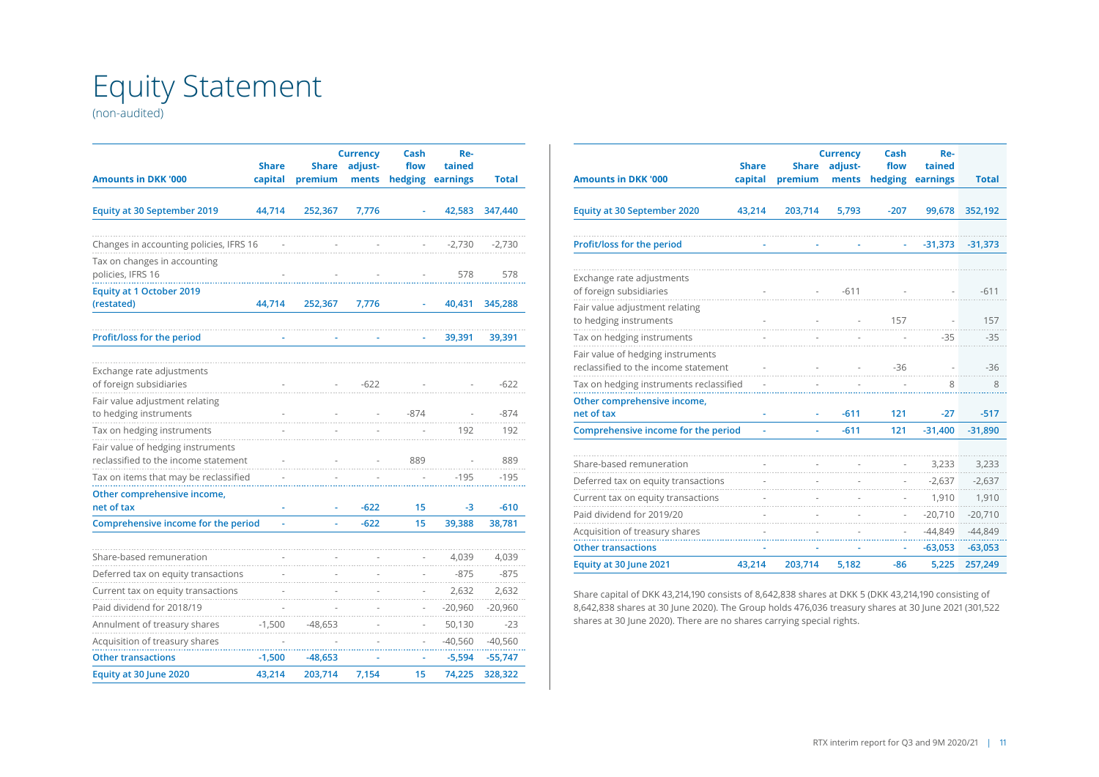# Equity Statement

(non-audited)

| <b>Amounts in DKK '000</b>                                                | <b>Share</b><br>capital | <b>Share</b><br>premium | <b>Currency</b><br>adjust-<br>ments | Cash<br>flow<br>hedging | Re-<br>tained<br>earnings | <b>Total</b> |
|---------------------------------------------------------------------------|-------------------------|-------------------------|-------------------------------------|-------------------------|---------------------------|--------------|
| <b>Equity at 30 September 2019</b>                                        | 44,714                  | 252,367                 | 7,776                               |                         | 42,583                    | 347,440      |
| Changes in accounting policies, IFRS 16                                   |                         |                         |                                     |                         | $-2,730$                  | $-2,730$     |
| Tax on changes in accounting<br>policies, IFRS 16                         |                         |                         |                                     |                         | 578                       | 578          |
| <b>Equity at 1 October 2019</b><br>(restated)                             | 44,714                  | 252,367                 | 7,776                               |                         | 40,431                    | 345,288      |
| Profit/loss for the period                                                |                         |                         |                                     |                         | 39,391                    | 39,391       |
| Exchange rate adjustments<br>of foreign subsidiaries                      |                         |                         | $-622$                              |                         |                           | $-622$       |
| Fair value adjustment relating<br>to hedging instruments                  |                         |                         |                                     | $-874$                  |                           | $-874$       |
| Tax on hedging instruments                                                |                         |                         |                                     |                         | 192                       | 192          |
| Fair value of hedging instruments<br>reclassified to the income statement |                         |                         |                                     | 889                     |                           | 889          |
| Tax on items that may be reclassified                                     |                         |                         |                                     |                         | $-195$                    | $-195$       |
| Other comprehensive income,<br>net of tax                                 |                         |                         | $-622$                              | 15                      | -3                        | $-610$       |
| Comprehensive income for the period                                       |                         |                         | $-622$                              | 15                      | 39,388                    | 38,781       |
| Share-based remuneration                                                  |                         |                         |                                     |                         | 4,039                     | 4,039        |
| Deferred tax on equity transactions                                       |                         |                         |                                     |                         | $-875$                    | $-875$       |
| Current tax on equity transactions                                        |                         |                         |                                     |                         | 2,632                     | 2,632        |
| Paid dividend for 2018/19                                                 |                         |                         |                                     |                         | $-20,960$                 | $-20,960$    |
| Annulment of treasury shares                                              | $-1,500$                | -48,653                 |                                     |                         | 50,130                    | $-23$        |
| Acquisition of treasury shares                                            |                         |                         |                                     |                         | $-40,560$                 | $-40,560$    |
| <b>Other transactions</b>                                                 | $-1,500$                | -48,653                 |                                     |                         | $-5,594$                  | $-55,747$    |
| Equity at 30 June 2020                                                    | 43,214                  | 203,714                 | 7,154                               | 15                      | 74,225                    | 328,322      |

| <b>Amounts in DKK '000</b>                                                | <b>Share</b><br>capital | <b>Share</b><br>premium | <b>Currency</b><br>adjust-<br>ments | Cash<br>flow<br>hedging | Re-<br>tained<br>earnings | <b>Total</b> |
|---------------------------------------------------------------------------|-------------------------|-------------------------|-------------------------------------|-------------------------|---------------------------|--------------|
| <b>Equity at 30 September 2020</b>                                        | 43,214                  | 203,714                 | 5,793                               | $-207$                  | 99,678                    | 352,192      |
| Profit/loss for the period                                                |                         |                         |                                     |                         | $-31,373$                 | $-31,373$    |
| Exchange rate adjustments<br>of foreign subsidiaries                      |                         |                         | $-611$                              |                         |                           | $-611$       |
| Fair value adjustment relating<br>to hedging instruments                  |                         |                         |                                     | 157                     |                           | 157          |
| Tax on hedging instruments                                                |                         |                         |                                     |                         | $-35$                     | $-35$        |
| Fair value of hedging instruments<br>reclassified to the income statement |                         |                         |                                     | -36                     |                           | $-36$        |
| Tax on hedging instruments reclassified                                   |                         |                         |                                     |                         | 8                         | 8            |
| Other comprehensive income,<br>net of tax                                 | ä                       |                         | $-611$                              | 121                     | $-27$                     | $-517$       |
| Comprehensive income for the period                                       | ä,                      | ä,                      | $-611$                              | 121                     | $-31,400$                 | $-31,890$    |
|                                                                           |                         |                         |                                     |                         |                           |              |
| Share-based remuneration                                                  |                         |                         |                                     |                         | 3,233                     | 3,233        |
| Deferred tax on equity transactions                                       |                         |                         |                                     |                         | $-2,637$                  | $-2,637$     |
| Current tax on equity transactions                                        |                         |                         |                                     |                         | 1,910                     | 1,910        |
| Paid dividend for 2019/20                                                 |                         |                         |                                     |                         | $-20,710$                 | $-20,710$    |
| Acquisition of treasury shares                                            |                         |                         |                                     |                         | $-44,849$                 | $-44,849$    |
| <b>Other transactions</b>                                                 |                         |                         |                                     |                         | $-63,053$                 | $-63,053$    |
| Equity at 30 June 2021                                                    | 43,214                  | 203,714                 | 5,182                               | $-86$                   | 5,225                     | 257,249      |

Share capital of DKK 43,214,190 consists of 8,642,838 shares at DKK 5 (DKK 43,214,190 consisting of 8,642,838 shares at 30 June 2020). The Group holds 476,036 treasury shares at 30 June 2021 (301,522 shares at 30 June 2020). There are no shares carrying special rights.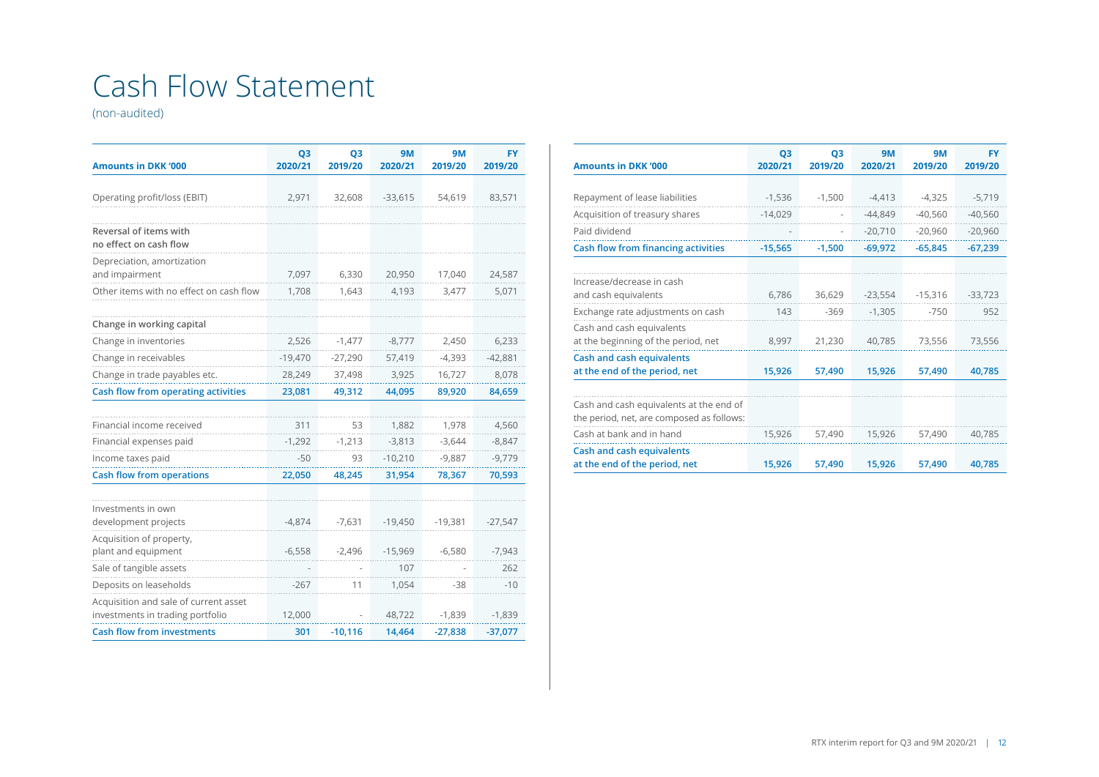# Cash Flow Statement

(non-audited)

| <b>Amounts in DKK '000</b>                      | Q <sub>3</sub><br>2020/21 | Q <sub>3</sub><br>2019/20 | <b>9M</b><br>2020/21 | <b>9M</b><br>2019/20 | <b>FY</b><br>2019/20 |
|-------------------------------------------------|---------------------------|---------------------------|----------------------|----------------------|----------------------|
|                                                 |                           |                           |                      |                      |                      |
| Operating profit/loss (EBIT)                    | 2,971                     | 32,608                    | $-33,615$            | 54,619               | 83,571               |
| Reversal of items with                          |                           |                           |                      |                      |                      |
| no effect on cash flow                          |                           |                           |                      |                      |                      |
| Depreciation, amortization<br>and impairment    | 7,097                     | 6,330                     | 20,950               | 17,040               | 24,587               |
| Other items with no effect on cash flow         | 1,708                     | 1,643                     | 4,193                | 3,477                | 5,071                |
|                                                 |                           |                           |                      |                      |                      |
| Change in working capital                       |                           |                           |                      |                      |                      |
| Change in inventories                           | 2,526                     | $-1,477$                  | $-8,777$             | 2,450                | 6,233                |
| Change in receivables                           | $-19,470$                 | $-27,290$                 | 57,419               | $-4,393$             | $-42,881$            |
| Change in trade payables etc.                   | 28,249                    | 37,498                    | 3,925                | 16,727               | 8,078                |
| Cash flow from operating activities             | 23,081                    | 49,312                    | 44,095               | 89,920               | 84,659               |
|                                                 |                           |                           |                      |                      |                      |
| Financial income received                       | 311                       | 53                        | 1,882                | 1,978                | 4,560                |
| Financial expenses paid                         | $-1,292$                  | $-1,213$                  | $-3,813$             | $-3,644$             | $-8,847$             |
| Income taxes paid                               | $-50$                     | 93                        | $-10,210$            | $-9,887$             | $-9,779$             |
| <b>Cash flow from operations</b>                | 22,050                    | 48,245                    | 31,954               | 78,367               | 70,593               |
|                                                 |                           |                           |                      |                      |                      |
| Investments in own                              |                           |                           |                      |                      |                      |
| development projects                            | $-4,874$                  | $-7,631$                  | $-19,450$            | $-19,381$            | $-27,547$            |
| Acquisition of property,<br>plant and equipment | $-6,558$                  | $-2,496$                  | $-15,969$            | $-6,580$             | $-7,943$             |
| Sale of tangible assets                         |                           |                           | 107                  |                      | 262                  |
| Deposits on leaseholds                          | $-267$                    | 11                        | 1,054                | -38                  | $-10$                |
| Acquisition and sale of current asset           |                           |                           |                      |                      |                      |
| investments in trading portfolio                | 12,000                    |                           | 48,722               | $-1,839$             | $-1,839$             |
| <b>Cash flow from investments</b>               | 301                       | $-10,116$                 | 14,464               | $-27,838$            | $-37,077$            |

| <b>Amounts in DKK '000</b>                                                           | Q <sub>3</sub><br>2020/21 | Q <sub>3</sub><br>2019/20 | <b>9M</b><br>2020/21 | <b>9M</b><br>2019/20 | <b>FY</b><br>2019/20 |
|--------------------------------------------------------------------------------------|---------------------------|---------------------------|----------------------|----------------------|----------------------|
|                                                                                      |                           |                           |                      |                      |                      |
| Repayment of lease liabilities                                                       | $-1,536$                  | $-1,500$                  | $-4,413$             | $-4,325$             | $-5,719$             |
| Acquisition of treasury shares                                                       | $-14,029$                 | $\overline{\phantom{a}}$  | $-44,849$            | $-40.560$            | $-40.560$            |
| Paid dividend                                                                        |                           |                           | $-20,710$            | $-20,960$            | $-20,960$            |
| Cash flow from financing activities                                                  | $-15.565$                 | $-1.500$                  | $-69,972$            | $-65.845$            | $-67.239$            |
|                                                                                      |                           |                           |                      |                      |                      |
| Increase/decrease in cash<br>and cash equivalents                                    | 6,786                     | 36,629                    | $-23,554$            | $-15,316$            | $-33,723$            |
| Exchange rate adjustments on cash                                                    | 143                       | $-369$                    | $-1,305$             | $-750$               | 952                  |
| Cash and cash equivalents<br>at the beginning of the period, net                     | 8,997                     | 21,230                    | 40,785               | 73,556               | 73,556               |
| <b>Cash and cash equivalents</b><br>at the end of the period, net                    | 15,926                    | 57.490                    | 15,926               | 57.490               | 40.785               |
|                                                                                      |                           |                           |                      |                      |                      |
| Cash and cash equivalents at the end of<br>the period, net, are composed as follows: |                           |                           |                      |                      |                      |
| Cash at bank and in hand                                                             | 15,926                    | 57,490                    | 15,926               | 57,490               | 40,785               |
| Cash and cash equivalents<br>at the end of the period, net                           | 15,926                    | 57,490                    | 15,926               | 57,490               | 40,785               |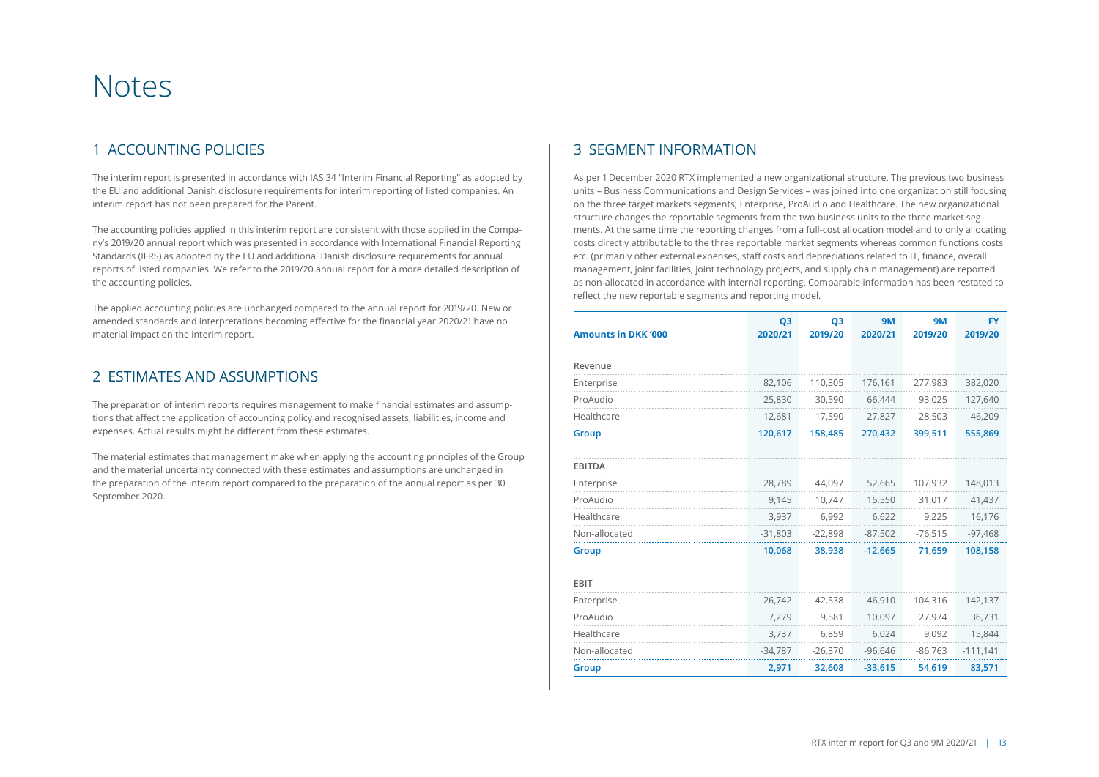# Notes

### 1 ACCOUNTING POLICIES

The interim report is presented in accordance with IAS 34 "Interim Financial Reporting" as adopted by the EU and additional Danish disclosure requirements for interim reporting of listed companies. An interim report has not been prepared for the Parent.

The accounting policies applied in this interim report are consistent with those applied in the Company's 2019/20 annual report which was presented in accordance with International Financial Reporting Standards (IFRS) as adopted by the EU and additional Danish disclosure requirements for annual reports of listed companies. We refer to the 2019/20 annual report for a more detailed description of the accounting policies.

The applied accounting policies are unchanged compared to the annual report for 2019/20. New or amended standards and interpretations becoming effective for the financial year 2020/21 have no material impact on the interim report.

### 2 ESTIMATES AND ASSUMPTIONS

The preparation of interim reports requires management to make financial estimates and assumptions that affect the application of accounting policy and recognised assets, liabilities, income and expenses. Actual results might be different from these estimates.

The material estimates that management make when applying the accounting principles of the Group and the material uncertainty connected with these estimates and assumptions are unchanged in the preparation of the interim report compared to the preparation of the annual report as per 30 September 2020.

### 3 SEGMENT INFORMATION

As per 1 December 2020 RTX implemented a new organizational structure. The previous two business units – Business Communications and Design Services – was joined into one organization still focusing on the three target markets segments; Enterprise, ProAudio and Healthcare. The new organizational structure changes the reportable segments from the two business units to the three market segments. At the same time the reporting changes from a full-cost allocation model and to only allocating costs directly attributable to the three reportable market segments whereas common functions costs etc. (primarily other external expenses, staff costs and depreciations related to IT, finance, overall management, joint facilities, joint technology projects, and supply chain management) are reported as non-allocated in accordance with internal reporting. Comparable information has been restated to reflect the new reportable segments and reporting model.

| <b>Amounts in DKK '000</b> | Q <sub>3</sub><br>2020/21 | Q <sub>3</sub><br>2019/20 | <b>9M</b><br>2020/21 | <b>9M</b><br>2019/20 | <b>FY</b><br>2019/20 |
|----------------------------|---------------------------|---------------------------|----------------------|----------------------|----------------------|
|                            |                           |                           |                      |                      |                      |
| Revenue                    |                           |                           |                      |                      |                      |
| Enterprise                 | 82,106                    | 110,305                   | 176,161              | 277,983              | 382,020              |
| ProAudio                   | 25,830                    | 30,590                    | 66,444               | 93,025               | 127,640              |
| Healthcare                 | 12,681                    | 17,590                    | 27,827               | 28,503               | 46,209               |
| Group                      | 120,617                   | 158,485                   | 270,432              | 399,511              | 555,869              |
|                            |                           |                           |                      |                      |                      |
| <b>EBITDA</b>              |                           |                           |                      |                      |                      |
| Enterprise                 | 28,789                    | 44,097                    | 52,665               | 107,932              | 148,013              |
| ProAudio                   | 9,145                     | 10,747                    | 15,550               | 31,017               | 41,437               |
| Healthcare                 | 3,937                     | 6.992                     | 6,622                | 9,225                | 16,176               |
| Non-allocated              | $-31,803$                 | $-22,898$                 | $-87,502$            | $-76,515$            | $-97,468$            |
| Group                      | 10,068                    | 38,938                    | $-12,665$            | 71,659               | 108,158              |
| EBIT                       |                           |                           |                      |                      |                      |
| Enterprise                 | 26,742                    | 42,538                    | 46,910               | 104,316              | 142,137              |
| ProAudio                   | 7,279                     | 9,581                     | 10,097               | 27,974               | 36,731               |
| Healthcare                 | 3,737                     | 6,859                     | 6,024                | 9.092                | 15,844               |
| Non-allocated              | $-34,787$                 | $-26,370$                 | $-96,646$            | $-86,763$            | $-111,141$           |
| Group                      | 2,971                     | 32,608                    | $-33,615$            | 54,619               | 83,571               |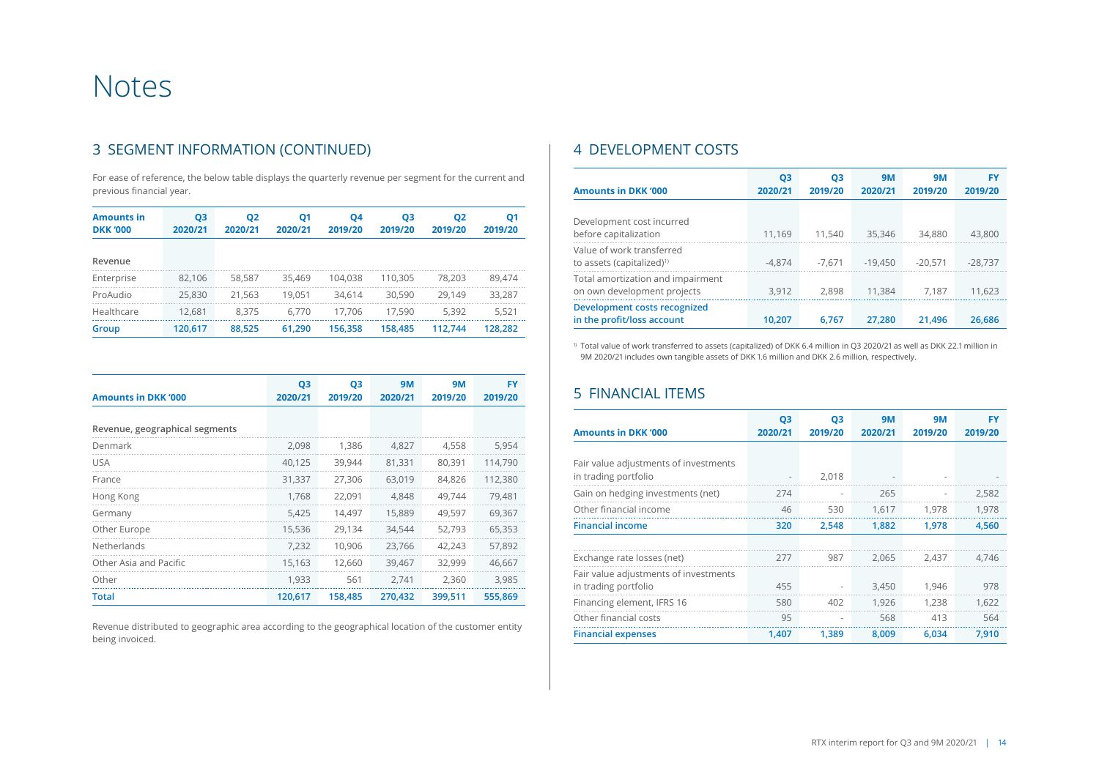# Notes

### 3 SEGMENT INFORMATION (CONTINUED)

For ease of reference, the below table displays the quarterly revenue per segment for the current and previous financial year.

| <b>Amounts in</b><br><b>DKK '000</b> | Q <sub>3</sub><br>2020/21 | <b>Q2</b><br>2020/21 | Q1<br>2020/21 | <b>Q4</b><br>2019/20 | Q3<br>2019/20 | Q <sub>2</sub><br>2019/20 | Q <sub>1</sub><br>2019/20 |
|--------------------------------------|---------------------------|----------------------|---------------|----------------------|---------------|---------------------------|---------------------------|
| Revenue                              |                           |                      |               |                      |               |                           |                           |
| Enterprise                           | 82.106                    | 58.587               | 35.469        | 104.038              | 110.305       | 78.203                    | 89.474                    |
| ProAudio                             | 25.830                    | 21,563               | 19.051        | 34.614               | 30,590        | 29.149                    | 33,287                    |
| Healthcare                           | 12.681                    | 8.375                | 6.770         | 17.706               | 17.590        | 5,392                     | 5.521                     |
| Group                                | 120,617                   | 88,525               | 61.290        | 156.358              | 158.485       | 112.744                   | 128,282                   |

| <b>Amounts in DKK '000</b>     | Q3<br>2020/21 | Q <sub>3</sub><br>2019/20 | <b>9M</b><br>2020/21 | <b>9M</b><br>2019/20 | FY<br>2019/20 |
|--------------------------------|---------------|---------------------------|----------------------|----------------------|---------------|
| Revenue, geographical segments |               |                           |                      |                      |               |
| Denmark                        | 2,098         | 1.386                     | 4,827                | 4,558                | 5,954         |
| <b>USA</b>                     | 40.125        | 39.944                    | 81,331               | 80,391               | 114.790       |
| France                         | 31,337        | 27,306                    | 63,019               | 84,826               | 112,380       |
| Hong Kong                      | 1,768         | 22,091                    | 4,848                | 49,744               | 79,481        |
| Germany                        | 5,425         | 14,497                    | 15,889               | 49,597               | 69,367        |
| Other Europe                   | 15,536        | 29,134                    | 34,544               | 52,793               | 65,353        |
| Netherlands                    | 7,232         | 10,906                    | 23,766               | 42,243               | 57,892        |
| Other Asia and Pacific         | 15,163        | 12,660                    | 39,467               | 32,999               | 46,667        |
| Other                          | 1,933         | 561                       | 2,741                | 2,360                | 3,985         |
| <b>Total</b>                   | 120,617       | 158,485                   | 270,432              | 399,511              | 555,869       |

Revenue distributed to geographic area according to the geographical location of the customer entity being invoiced.

### 4 DEVELOPMENT COSTS

| <b>Amounts in DKK '000</b>                                         | Q3<br>2020/21 | Q3<br>2019/20 | <b>9M</b><br>2020/21 | <b>9M</b><br>2019/20 | FY<br>2019/20 |
|--------------------------------------------------------------------|---------------|---------------|----------------------|----------------------|---------------|
| Development cost incurred<br>before capitalization                 | 11.169        | 11.540        | 35,346               | 34.880               | 43,800        |
| Value of work transferred<br>to assets (capitalized) <sup>1)</sup> | $-4.874$      | $-7.671$      | $-19.450$            | $-20.571$            | $-28.737$     |
| Total amortization and impairment<br>on own development projects   | 3.912         | 2.898         | 11,384               | 7.187                | 11,623        |
| Development costs recognized<br>in the profit/loss account         | 10.207        | 6.767         | 27.280               | 21,496               | 26.686        |

<sup>1)</sup> Total value of work transferred to assets (capitalized) of DKK 6.4 million in Q3 2020/21 as well as DKK 22.1 million in 9M 2020/21 includes own tangible assets of DKK 1.6 million and DKK 2.6 million, respectively.

### 5 FINANCIAL ITEMS

| <b>Amounts in DKK '000</b>                                    | Q <sub>3</sub><br>2020/21 | Q3<br>2019/20 | <b>9M</b><br>2020/21 | <b>9M</b><br>2019/20 | FY<br>2019/20 |
|---------------------------------------------------------------|---------------------------|---------------|----------------------|----------------------|---------------|
|                                                               |                           |               |                      |                      |               |
| Fair value adjustments of investments<br>in trading portfolio |                           | 2,018         |                      |                      |               |
| Gain on hedging investments (net)                             | 274                       | ٠             | 265                  |                      | 2,582         |
| Other financial income                                        | 46                        | 530           | 1,617                | 1,978                | 1,978         |
| <b>Financial income</b>                                       | 320                       | 2,548         | 1,882                | 1,978                | 4,560         |
|                                                               |                           |               |                      |                      |               |
| Exchange rate losses (net)                                    | 277                       | 987           | 2,065                | 2,437                | 4.746         |
| Fair value adjustments of investments<br>in trading portfolio | 455                       |               | 3,450                | 1,946                | 978           |
| Financing element, IFRS 16                                    | 580                       | 402           | 1.926                | 1.238                | 1,622         |
| Other financial costs                                         | 95                        |               | 568                  | 413                  | 564           |
| <b>Financial expenses</b>                                     | 1.407                     | 1.389         | 8,009                | 6.034                | 7.910         |